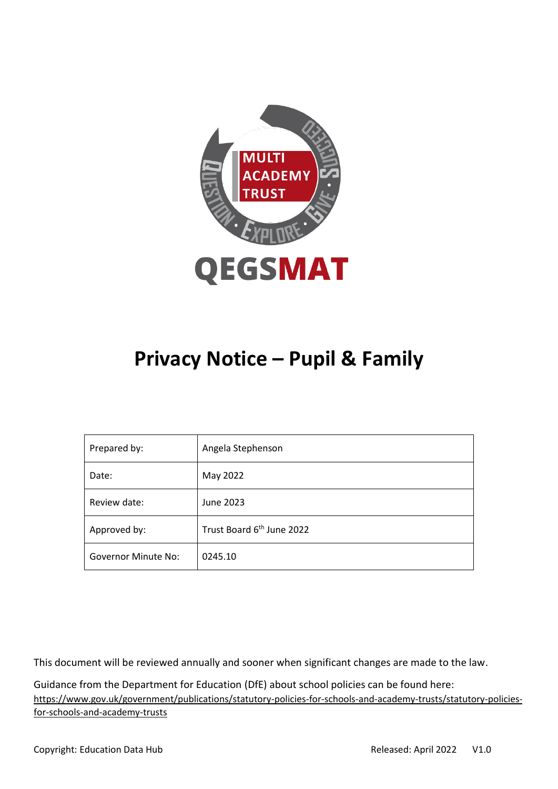

# **Privacy Notice – Pupil & Family**

| Prepared by:               | Angela Stephenson                     |
|----------------------------|---------------------------------------|
| Date:                      | May 2022                              |
| Review date:               | June 2023                             |
| Approved by:               | Trust Board 6 <sup>th</sup> June 2022 |
| <b>Governor Minute No:</b> | 0245.10                               |

This document will be reviewed annually and sooner when significant changes are made to the law.

Guidance from the Department for Education (DfE) about school policies can be found here: [https://www.gov.uk/government/publications/statutory-policies-for-schools-and-academy-trusts/statutory-policies](https://www.gov.uk/government/publications/statutory-policies-for-schools-and-academy-trusts/statutory-policies-for-schools-and-academy-trusts)[for-schools-and-academy-trusts](https://www.gov.uk/government/publications/statutory-policies-for-schools-and-academy-trusts/statutory-policies-for-schools-and-academy-trusts)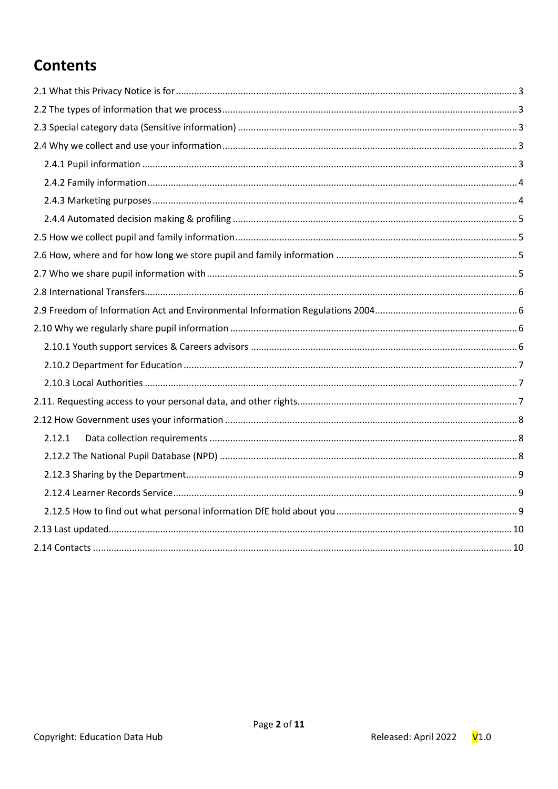# **Contents**

| 2.12.1 |  |
|--------|--|
|        |  |
|        |  |
|        |  |
|        |  |
|        |  |
|        |  |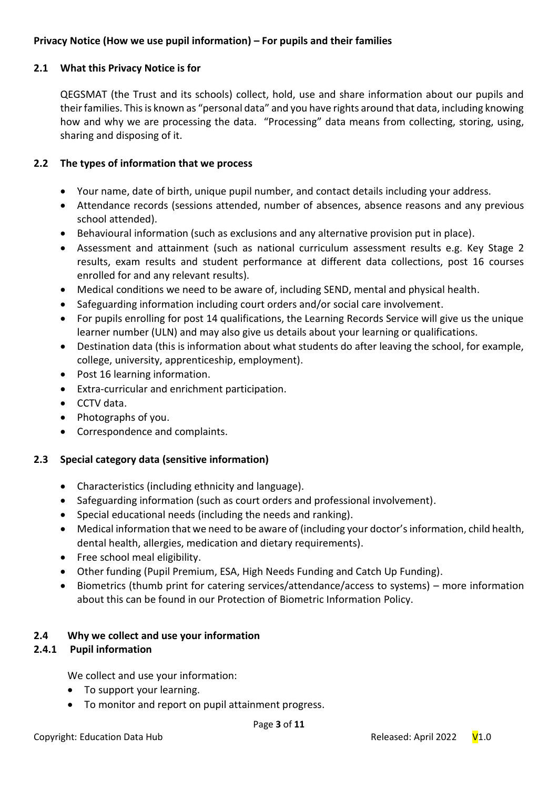# **Privacy Notice (How we use pupil information) – For pupils and their families**

# <span id="page-2-0"></span>**2.1 What this Privacy Notice is for**

QEGSMAT (the Trust and its schools) collect, hold, use and share information about our pupils and their families. This is known as "personal data" and you have rights around that data, including knowing how and why we are processing the data. "Processing" data means from collecting, storing, using, sharing and disposing of it.

# <span id="page-2-1"></span>**2.2 The types of information that we process**

- Your name, date of birth, unique pupil number, and contact details including your address.
- Attendance records (sessions attended, number of absences, absence reasons and any previous school attended).
- Behavioural information (such as exclusions and any alternative provision put in place).
- Assessment and attainment (such as national curriculum assessment results e.g. Key Stage 2 results, exam results and student performance at different data collections, post 16 courses enrolled for and any relevant results).
- Medical conditions we need to be aware of, including SEND, mental and physical health.
- Safeguarding information including court orders and/or social care involvement.
- For pupils enrolling for post 14 qualifications, the Learning Records Service will give us the unique learner number (ULN) and may also give us details about your learning or qualifications.
- Destination data (this is information about what students do after leaving the school, for example, college, university, apprenticeship, employment).
- Post 16 learning information.
- Extra-curricular and enrichment participation.
- CCTV data.
- Photographs of you.
- Correspondence and complaints.

### <span id="page-2-2"></span>**2.3 Special category data (sensitive information)**

- Characteristics (including ethnicity and language).
- Safeguarding information (such as court orders and professional involvement).
- Special educational needs (including the needs and ranking).
- Medical information that we need to be aware of (including your doctor's information, child health, dental health, allergies, medication and dietary requirements).
- Free school meal eligibility.
- Other funding (Pupil Premium, ESA, High Needs Funding and Catch Up Funding).
- Biometrics (thumb print for catering services/attendance/access to systems) more information about this can be found in our Protection of Biometric Information Policy.

### <span id="page-2-3"></span>**2.4 Why we collect and use your information**

### <span id="page-2-4"></span>**2.4.1 Pupil information**

We collect and use your information:

- To support your learning.
- To monitor and report on pupil attainment progress.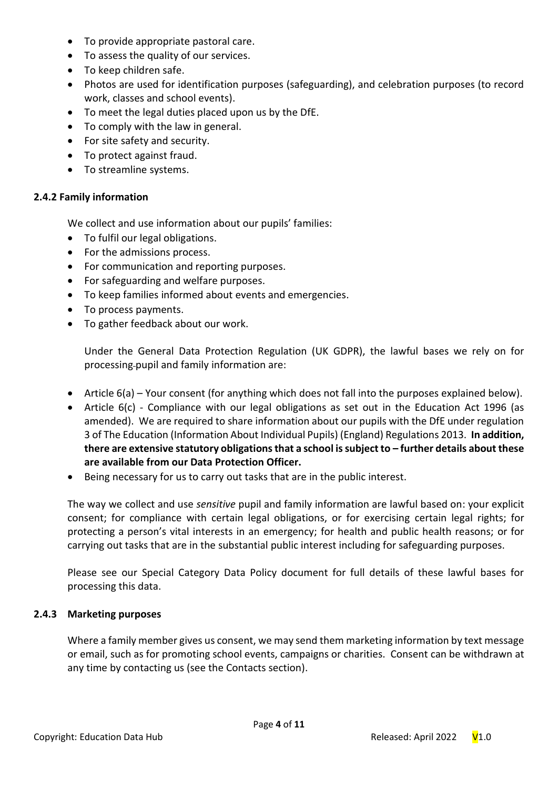- To provide appropriate pastoral care.
- To assess the quality of our services.
- To keep children safe.
- Photos are used for identification purposes (safeguarding), and celebration purposes (to record work, classes and school events).
- To meet the legal duties placed upon us by the DfE.
- To comply with the law in general.
- For site safety and security.
- To protect against fraud.
- To streamline systems.

# <span id="page-3-0"></span>**2.4.2 Family information**

We collect and use information about our pupils' families:

- To fulfil our legal obligations.
- For the admissions process.
- For communication and reporting purposes.
- For safeguarding and welfare purposes.
- To keep families informed about events and emergencies.
- To process payments.
- To gather feedback about our work.

Under the General Data Protection Regulation (UK GDPR), the lawful bases we rely on for processing-pupil and family information are:

- Article 6(a) Your consent (for anything which does not fall into the purposes explained below).
- Article 6(c) Compliance with our legal obligations as set out in the Education Act 1996 (as amended). We are required to share information about our pupils with the DfE under regulation 3 of The Education (Information About Individual Pupils) (England) Regulations 2013. **In addition, there are extensive statutory obligations that a school is subject to – further details about these are available from our Data Protection Officer.**
- Being necessary for us to carry out tasks that are in the public interest.

The way we collect and use *sensitive* pupil and family information are lawful based on: your explicit consent; for compliance with certain legal obligations, or for exercising certain legal rights; for protecting a person's vital interests in an emergency; for health and public health reasons; or for carrying out tasks that are in the substantial public interest including for safeguarding purposes.

Please see our Special Category Data Policy document for full details of these lawful bases for processing this data.

### <span id="page-3-1"></span>**2.4.3 Marketing purposes**

Where a family member gives us consent, we may send them marketing information by text message or email, such as for promoting school events, campaigns or charities. Consent can be withdrawn at any time by contacting us (see the Contacts section).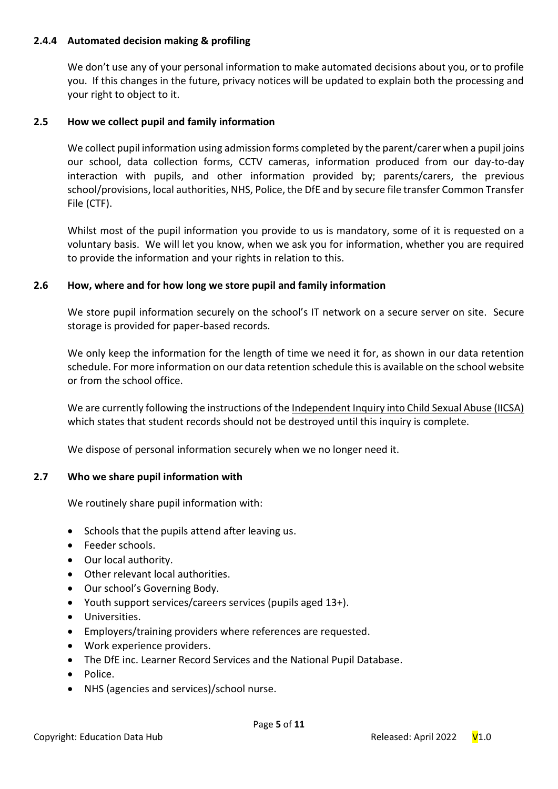# <span id="page-4-0"></span>**2.4.4 Automated decision making & profiling**

We don't use any of your personal information to make automated decisions about you, or to profile you. If this changes in the future, privacy notices will be updated to explain both the processing and your right to object to it.

# <span id="page-4-1"></span>**2.5 How we collect pupil and family information**

We collect pupil information using admission forms completed by the parent/carer when a pupil joins our school, data collection forms, CCTV cameras, information produced from our day-to-day interaction with pupils, and other information provided by; parents/carers, the previous school/provisions, local authorities, NHS, Police, the DfE and by secure file transfer Common Transfer File (CTF).

Whilst most of the pupil information you provide to us is mandatory, some of it is requested on a voluntary basis. We will let you know, when we ask you for information, whether you are required to provide the information and your rights in relation to this.

# <span id="page-4-2"></span>**2.6 How, where and for how long we store pupil and family information**

We store pupil information securely on the school's IT network on a secure server on site. Secure storage is provided for paper-based records.

We only keep the information for the length of time we need it for, as shown in our data retention schedule. For more information on our data retention schedule this is available on the school website or from the school office.

We are currently following the instructions of th[e Independent Inquiry into Child Sexual Abuse \(IICSA\)](https://www.iicsa.org.uk/document/guidance-note-retention-instructions-and-data-protection-requirements) which states that student records should not be destroyed until this inquiry is complete.

We dispose of personal information securely when we no longer need it.

### <span id="page-4-3"></span>**2.7 Who we share pupil information with**

We routinely share pupil information with:

- Schools that the pupils attend after leaving us.
- Feeder schools.
- Our local authority.
- Other relevant local authorities.
- Our school's Governing Body.
- Youth support services/careers services (pupils aged 13+).
- Universities.
- Employers/training providers where references are requested.
- Work experience providers.
- The DfE inc. Learner Record Services and the National Pupil Database.
- Police.
- NHS (agencies and services)/school nurse.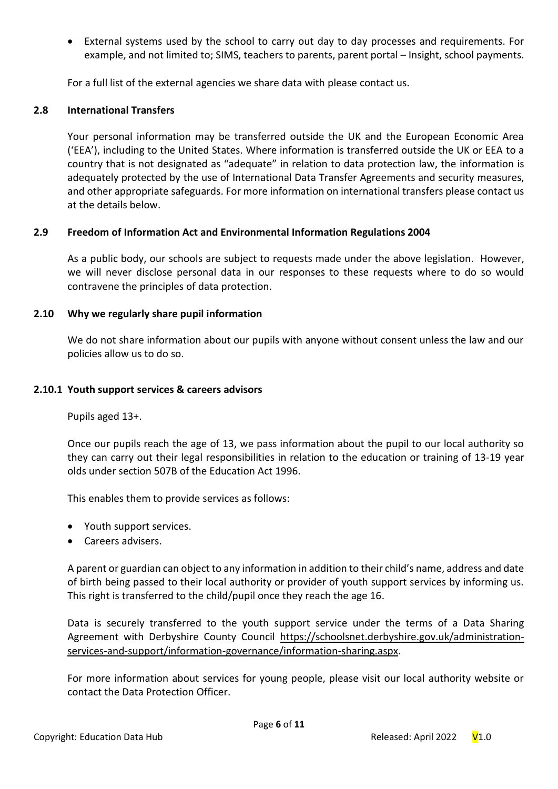• External systems used by the school to carry out day to day processes and requirements. For example, and not limited to; SIMS, teachers to parents, parent portal – Insight, school payments.

For a full list of the external agencies we share data with please contact us.

# <span id="page-5-0"></span>**2.8 International Transfers**

Your personal information may be transferred outside the UK and the European Economic Area ('EEA'), including to the United States. Where information is transferred outside the UK or EEA to a country that is not designated as "adequate" in relation to data protection law, the information is adequately protected by the use of International Data Transfer Agreements and security measures, and other appropriate safeguards. For more information on international transfers please contact us at the details below.

# <span id="page-5-1"></span>**2.9 Freedom of Information Act and Environmental Information Regulations 2004**

As a public body, our schools are subject to requests made under the above legislation. However, we will never disclose personal data in our responses to these requests where to do so would contravene the principles of data protection.

# <span id="page-5-2"></span>**2.10 Why we regularly share pupil information**

We do not share information about our pupils with anyone without consent unless the law and our policies allow us to do so.

### <span id="page-5-3"></span>**2.10.1 Youth support services & careers advisors**

Pupils aged 13+.

Once our pupils reach the age of 13, we pass information about the pupil to our local authority so they can carry out their legal responsibilities in relation to the education or training of 13-19 year olds under section 507B of the Education Act 1996.

This enables them to provide services as follows:

- Youth support services.
- Careers advisers.

A parent or guardian can object to any information in addition to their child's name, address and date of birth being passed to their local authority or provider of youth support services by informing us. This right is transferred to the child/pupil once they reach the age 16.

Data is securely transferred to the youth support service under the terms of a Data Sharing Agreement with Derbyshire County Council [https://schoolsnet.derbyshire.gov.uk/administration](https://schoolsnet.derbyshire.gov.uk/administration-services-and-support/information-governance/information-sharing.aspx)[services-and-support/information-governance/information-sharing.aspx.](https://schoolsnet.derbyshire.gov.uk/administration-services-and-support/information-governance/information-sharing.aspx)

For more information about services for young people, please visit our local authority website or contact the Data Protection Officer.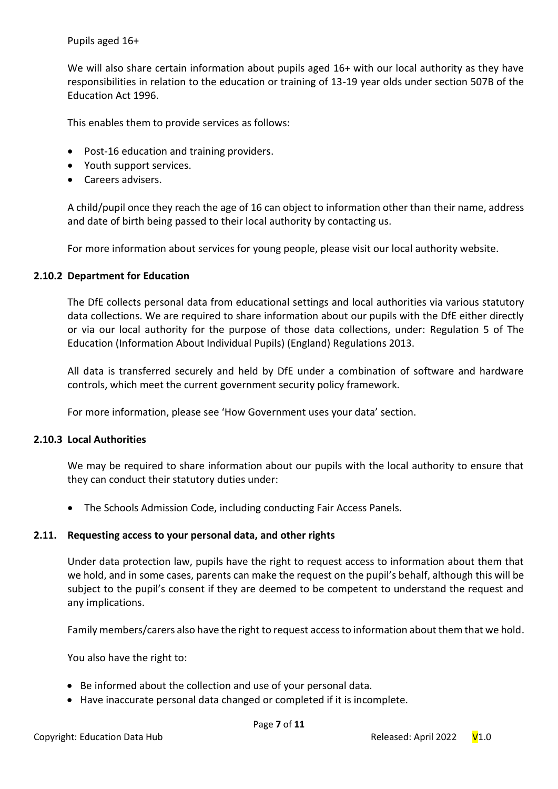Pupils aged 16+

We will also share certain information about pupils aged 16+ with our local authority as they have responsibilities in relation to the education or training of 13-19 year olds under section 507B of the Education Act 1996.

This enables them to provide services as follows:

- Post-16 education and training providers.
- Youth support services.
- Careers advisers.

A child/pupil once they reach the age of 16 can object to information other than their name, address and date of birth being passed to their local authority by contacting us.

For more information about services for young people, please visit our local authority website.

### <span id="page-6-0"></span>**2.10.2 Department for Education**

The DfE collects personal data from educational settings and local authorities via various statutory data collections. We are required to share information about our pupils with the DfE either directly or via our local authority for the purpose of those data collections, under: Regulation 5 of The Education (Information About Individual Pupils) (England) Regulations 2013.

All data is transferred securely and held by DfE under a combination of software and hardware controls, which meet the current government security policy framework.

For more information, please see 'How Government uses your data' section.

### <span id="page-6-1"></span>**2.10.3 Local Authorities**

We may be required to share information about our pupils with the local authority to ensure that they can conduct their statutory duties under:

• The Schools Admission Code, including conducting Fair Access Panels.

### <span id="page-6-2"></span>**2.11. Requesting access to your personal data, and other rights**

Under data protection law, pupils have the right to request access to information about them that we hold, and in some cases, parents can make the request on the pupil's behalf, although this will be subject to the pupil's consent if they are deemed to be competent to understand the request and any implications.

Family members/carers also have the right to request access to information about them that we hold.

You also have the right to:

- Be informed about the collection and use of your personal data.
- Have inaccurate personal data changed or completed if it is incomplete.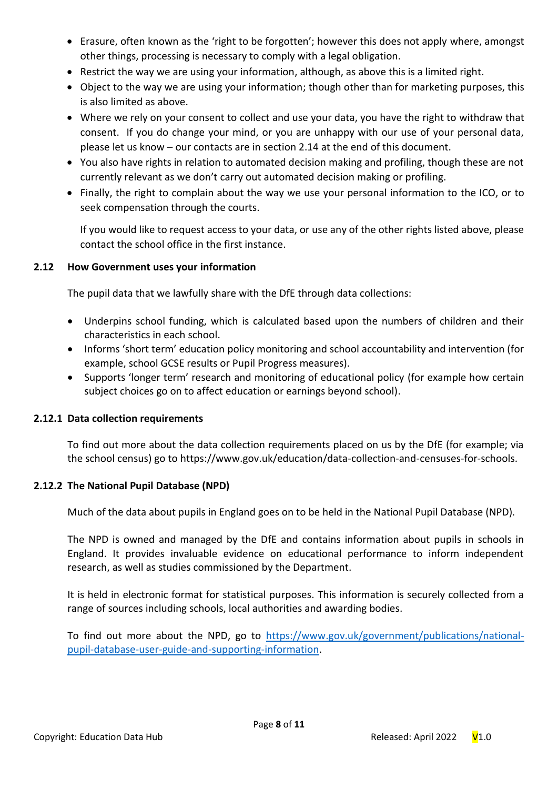- Erasure, often known as the 'right to be forgotten'; however this does not apply where, amongst other things, processing is necessary to comply with a legal obligation.
- Restrict the way we are using your information, although, as above this is a limited right.
- Object to the way we are using your information; though other than for marketing purposes, this is also limited as above.
- Where we rely on your consent to collect and use your data, you have the right to withdraw that consent. If you do change your mind, or you are unhappy with our use of your personal data, please let us know – our contacts are in section 2.14 at the end of this document.
- You also have rights in relation to automated decision making and profiling, though these are not currently relevant as we don't carry out automated decision making or profiling.
- Finally, the right to complain about the way we use your personal information to the ICO, or to seek compensation through the courts.

If you would like to request access to your data, or use any of the other rights listed above, please contact the school office in the first instance.

# <span id="page-7-0"></span>**2.12 How Government uses your information**

The pupil data that we lawfully share with the DfE through data collections:

- Underpins school funding, which is calculated based upon the numbers of children and their characteristics in each school.
- Informs 'short term' education policy monitoring and school accountability and intervention (for example, school GCSE results or Pupil Progress measures).
- Supports 'longer term' research and monitoring of educational policy (for example how certain subject choices go on to affect education or earnings beyond school).

# <span id="page-7-1"></span>**2.12.1 Data collection requirements**

To find out more about the data collection requirements placed on us by the DfE (for example; via the school census) go to https://www.gov.uk/education/data-collection-and-censuses-for-schools.

# <span id="page-7-2"></span>**2.12.2 The National Pupil Database (NPD)**

Much of the data about pupils in England goes on to be held in the National Pupil Database (NPD).

The NPD is owned and managed by the DfE and contains information about pupils in schools in England. It provides invaluable evidence on educational performance to inform independent research, as well as studies commissioned by the Department.

It is held in electronic format for statistical purposes. This information is securely collected from a range of sources including schools, local authorities and awarding bodies.

To find out more about the NPD, go to [https://www.gov.uk/government/publications/national](https://www.gov.uk/government/publications/national-pupil-database-user-guide-and-supporting-information)[pupil-database-user-guide-and-supporting-information.](https://www.gov.uk/government/publications/national-pupil-database-user-guide-and-supporting-information)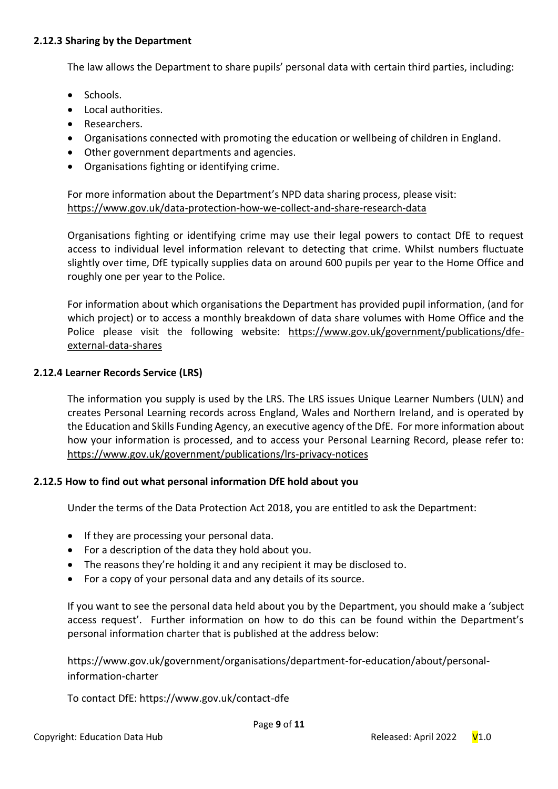### <span id="page-8-0"></span>**2.12.3 Sharing by the Department**

The law allows the Department to share pupils' personal data with certain third parties, including:

- Schools.
- Local authorities.
- Researchers.
- Organisations connected with promoting the education or wellbeing of children in England.
- Other government departments and agencies.
- Organisations fighting or identifying crime.

For more information about the Department's NPD data sharing process, please visit: <https://www.gov.uk/data-protection-how-we-collect-and-share-research-data>

Organisations fighting or identifying crime may use their legal powers to contact DfE to request access to individual level information relevant to detecting that crime. Whilst numbers fluctuate slightly over time, DfE typically supplies data on around 600 pupils per year to the Home Office and roughly one per year to the Police.

For information about which organisations the Department has provided pupil information, (and for which project) or to access a monthly breakdown of data share volumes with Home Office and the Police please visit the following website: [https://www.gov.uk/government/publications/dfe](https://www.gov.uk/government/publications/dfe-external-data-shares)[external-data-shares](https://www.gov.uk/government/publications/dfe-external-data-shares)

### <span id="page-8-1"></span>**2.12.4 Learner Records Service (LRS)**

The information you supply is used by the LRS. The LRS issues Unique Learner Numbers (ULN) and creates Personal Learning records across England, Wales and Northern Ireland, and is operated by the Education and Skills Funding Agency, an executive agency of the DfE. For more information about how your information is processed, and to access your Personal Learning Record, please refer to: <https://www.gov.uk/government/publications/lrs-privacy-notices>

### <span id="page-8-2"></span>**2.12.5 How to find out what personal information DfE hold about you**

Under the terms of the Data Protection Act 2018, you are entitled to ask the Department:

- If they are processing your personal data.
- For a description of the data they hold about you.
- The reasons they're holding it and any recipient it may be disclosed to.
- For a copy of your personal data and any details of its source.

If you want to see the personal data held about you by the Department, you should make a 'subject access request'. Further information on how to do this can be found within the Department's personal information charter that is published at the address below:

https://www.gov.uk/government/organisations/department-for-education/about/personalinformation-charter

To contact DfE: https://www.gov.uk/contact-dfe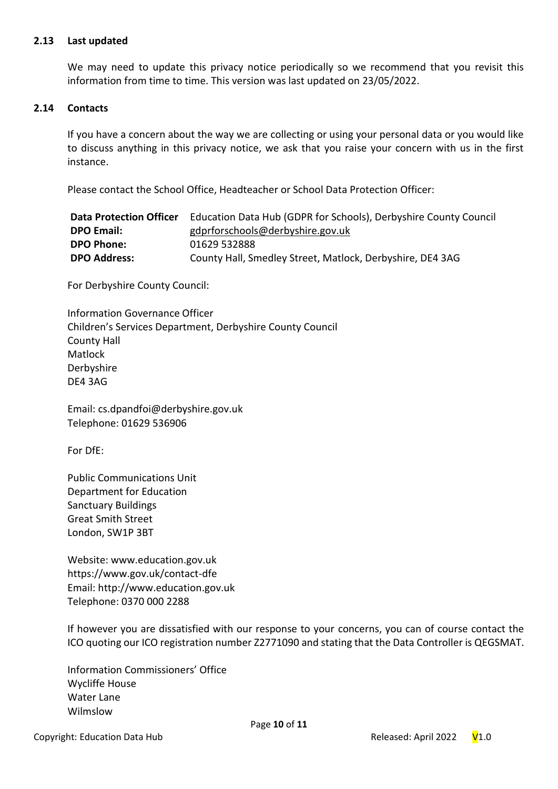#### <span id="page-9-0"></span>**2.13 Last updated**

We may need to update this privacy notice periodically so we recommend that you revisit this information from time to time. This version was last updated on 23/05/2022.

#### <span id="page-9-1"></span>**2.14 Contacts**

If you have a concern about the way we are collecting or using your personal data or you would like to discuss anything in this privacy notice, we ask that you raise your concern with us in the first instance.

Please contact the School Office, Headteacher or School Data Protection Officer:

| <b>Data Protection Officer</b> | Education Data Hub (GDPR for Schools), Derbyshire County Council |
|--------------------------------|------------------------------------------------------------------|
| <b>DPO Email:</b>              | gdprforschools@derbyshire.gov.uk                                 |
| <b>DPO Phone:</b>              | 01629 532888                                                     |
| <b>DPO Address:</b>            | County Hall, Smedley Street, Matlock, Derbyshire, DE4 3AG        |

For Derbyshire County Council:

Information Governance Officer Children's Services Department, Derbyshire County Council County Hall Matlock Derbyshire DE4 3AG

Email: cs.dpandfoi@derbyshire.gov.uk Telephone: 01629 536906

For DfE:

Public Communications Unit Department for Education Sanctuary Buildings Great Smith Street London, SW1P 3BT

Website: www.education.gov.uk https://www.gov.uk/contact-dfe Email: http://www.education.gov.uk Telephone: 0370 000 2288

If however you are dissatisfied with our response to your concerns, you can of course contact the ICO quoting our ICO registration number Z2771090 and stating that the Data Controller is QEGSMAT.

Information Commissioners' Office Wycliffe House Water Lane Wilmslow